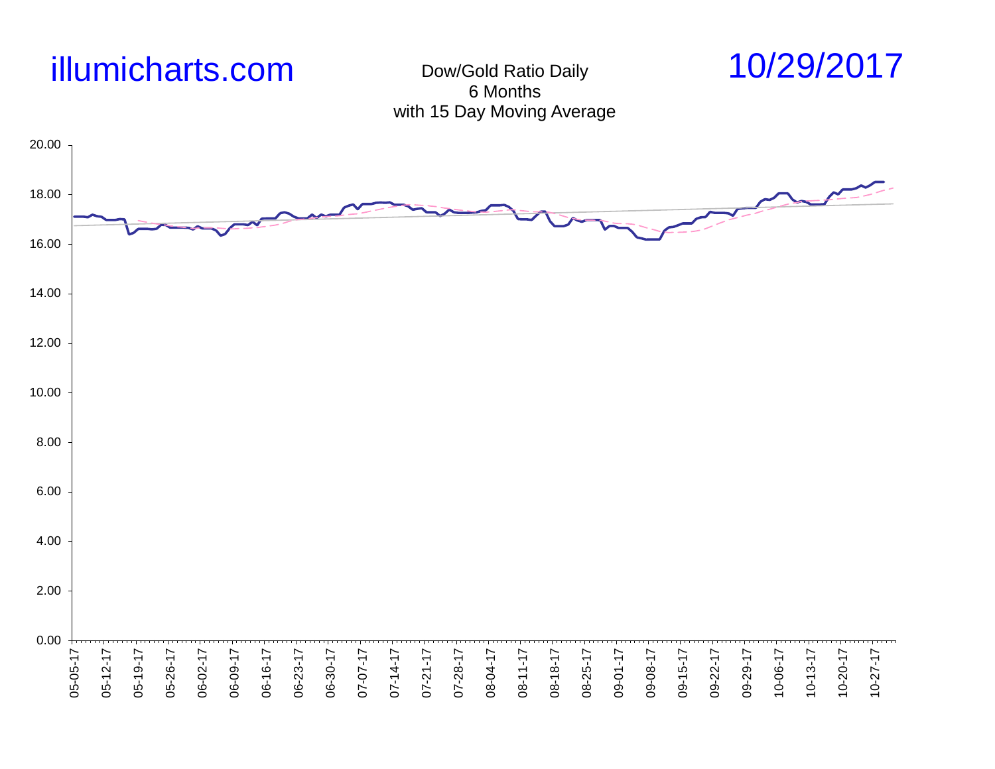

## Dow/Gold Ratio Daily 6 Months with 15 Day Moving Average



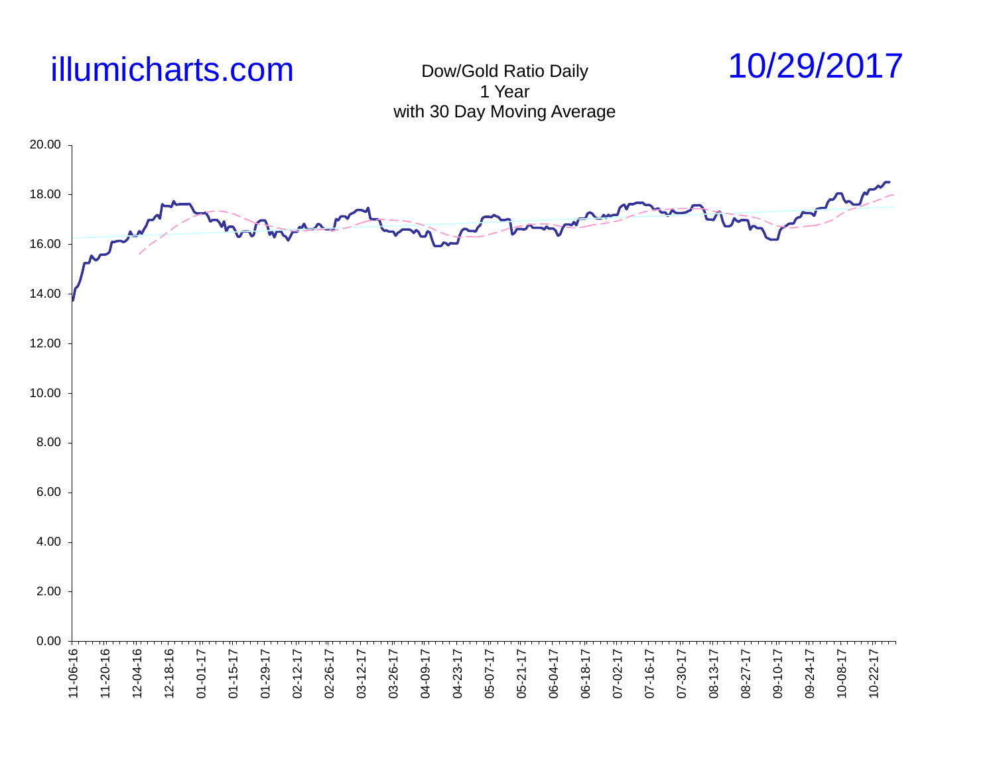

Dow/Gold Ratio Daily 1 Year with 30 Day Moving Average



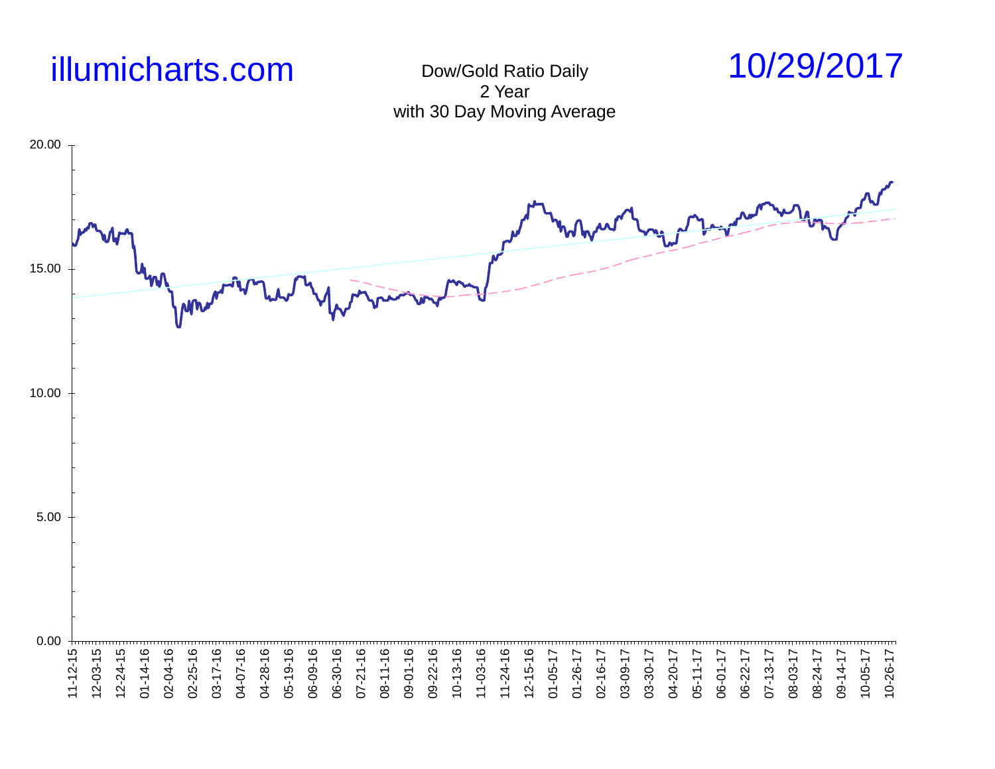

Dow/Gold Ratio Daily 2 Year with 30 Day Moving Average

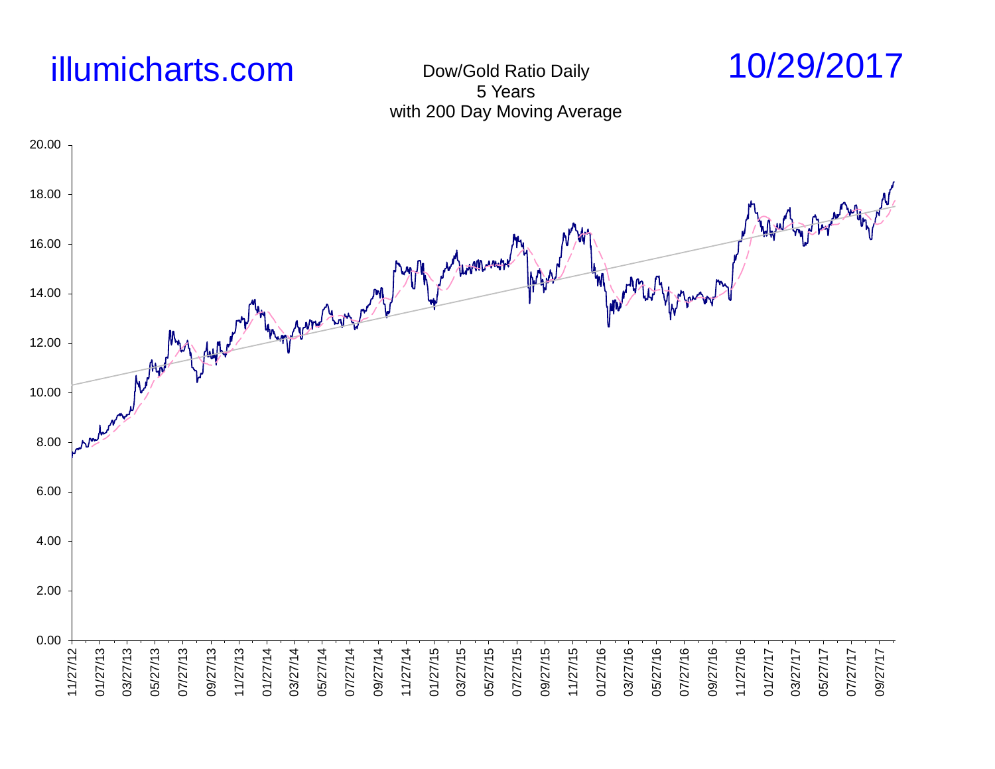

Dow/Gold Ratio Daily 5 Years with 200 Day Moving Average



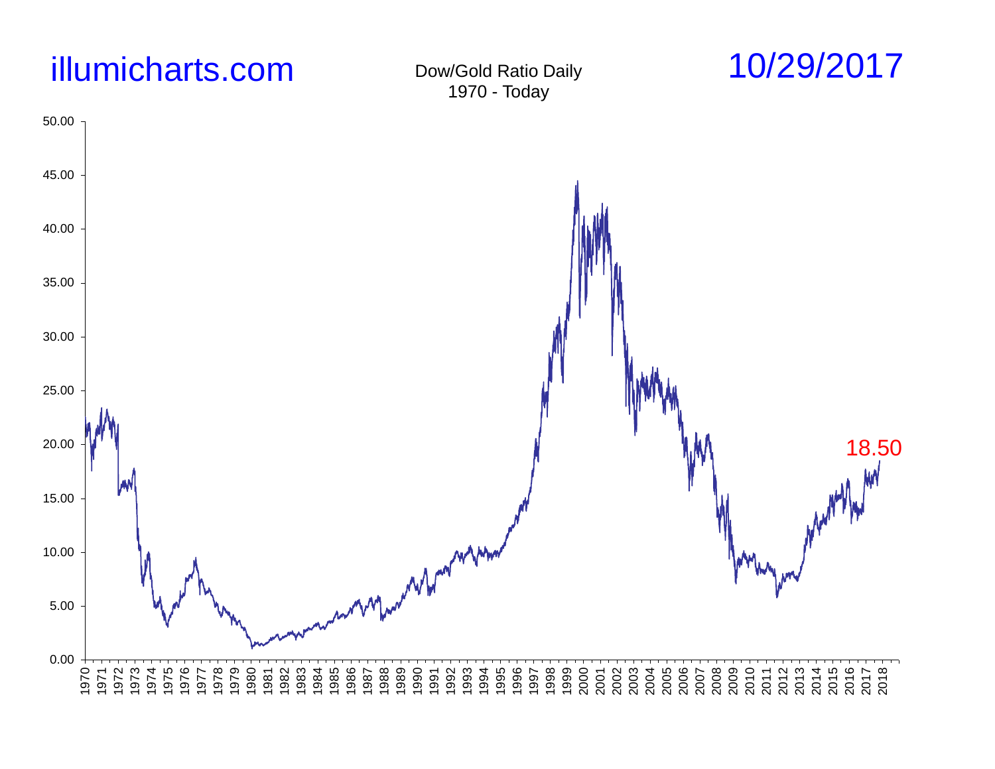